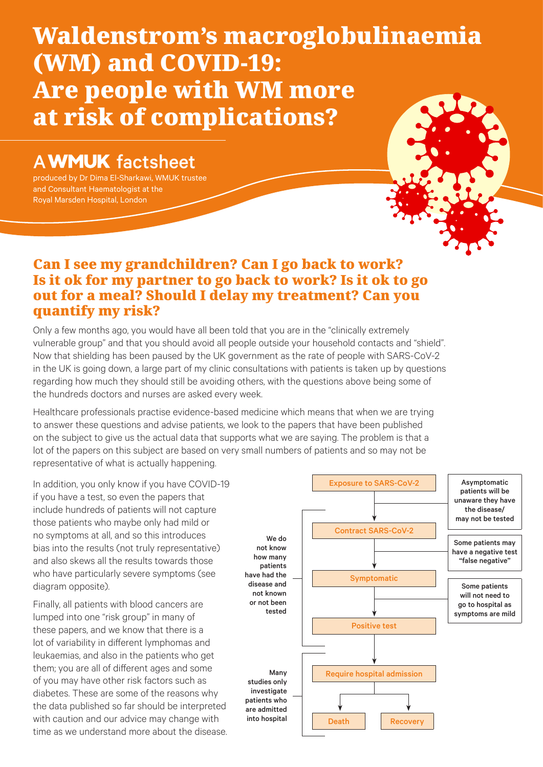# Waldenstrom's macroglobulinaemia (WM) and COVID-19: Are people with WM more at risk of complications?

## **A WMUK** factsheet

produced by Dr Dima El-Sharkawi, WMUK trustee and Consultant Haematologist at the Royal Marsden Hospital, London

time as we understand more about the disease.



#### Can I see my grandchildren? Can I go back to work? Is it ok for my partner to go back to work? Is it ok to go out for a meal? Should I delay my treatment? Can you quantify my risk?

Only a few months ago, you would have all been told that you are in the "clinically extremely vulnerable group" and that you should avoid all people outside your household contacts and "shield". Now that shielding has been paused by the UK government as the rate of people with SARS-CoV-2 in the UK is going down, a large part of my clinic consultations with patients is taken up by questions regarding how much they should still be avoiding others, with the questions above being some of the hundreds doctors and nurses are asked every week.

Healthcare professionals practise evidence-based medicine which means that when we are trying to answer these questions and advise patients, we look to the papers that have been published on the subject to give us the actual data that supports what we are saying. The problem is that a lot of the papers on this subject are based on very small numbers of patients and so may not be representative of what is actually happening.

In addition, you only know if you have COVID-19 if you have a test, so even the papers that include hundreds of patients will not capture those patients who maybe only had mild or no symptoms at all, and so this introduces bias into the results (not truly representative) and also skews all the results towards those who have particularly severe symptoms (see diagram opposite). Finally, all patients with blood cancers are lumped into one "risk group" in many of these papers, and we know that there is a lot of variability in different lymphomas and leukaemias, and also in the patients who get them; you are all of different ages and some of you may have other risk factors such as diabetes. These are some of the reasons why the data published so far should be interpreted with caution and our advice may change with Exposure to SARS-CoV-2 Contract SARS-CoV-2 Symptomatic Positive test Require hospital admission Asymptomatic patients will be unaware they have the disease/ may not be tested Some patients may have a negative test "false negative" Some patients will not need to go to hospital as symptoms are mild We do not know how many patients have had the disease and not known or not been tested Many studies only investigate patients who are admitted into hospital

Death Recovery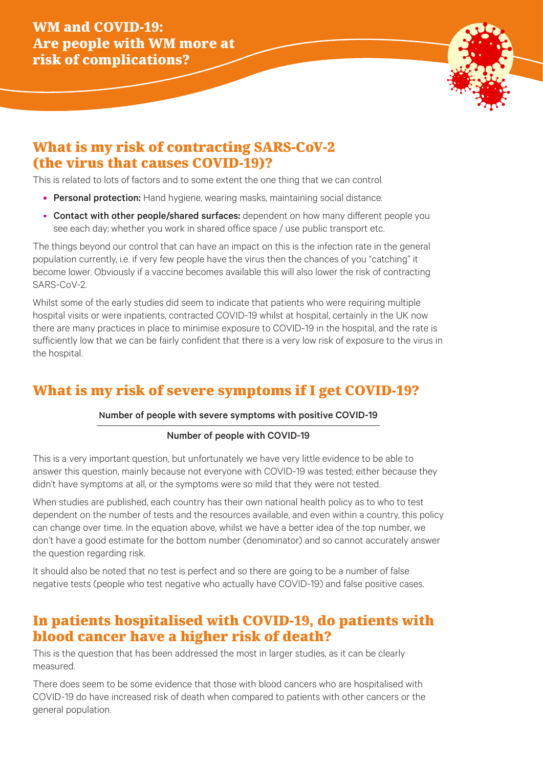

### What is my risk of contracting SARS-CoV-2 (the virus that causes COVID-19)?

This is related to lots of factors and to some extent the one thing that we can control.

- Personal protection: Hand hygiene, wearing masks, maintaining social distance.
- Contact with other people/shared surfaces: dependent on how many different people you see each day; whether you work in shared office space / use public transport etc.

The things beyond our control that can have an impact on this is the infection rate in the general population currently, i.e. if very few people have the virus then the chances of you "catching" it become lower. Obviously if a vaccine becomes available this will also lower the risk of contracting SARS-CoV-2.

Whilst some of the early studies did seem to indicate that patients who were requiring multiple hospital visits or were inpatients, contracted COVID-19 whilst at hospital, certainly in the UK now there are many practices in place to minimise exposure to COVID-19 in the hospital, and the rate is sufficiently low that we can be fairly confident that there is a very low risk of exposure to the virus in the hospital.

## What is my risk of severe symptoms if I get COVID-19?

#### Number of people with severe symptoms with positive COVID-19

#### Number of people with COVID-19

This is a very important question, but unfortunately we have very little evidence to be able to answer this question, mainly because not everyone with COVID-19 was tested; either because they didn't have symptoms at all, or the symptoms were so mild that they were not tested.

When studies are published, each country has their own national health policy as to who to test dependent on the number of tests and the resources available, and even within a country, this policy can change over time. In the equation above, whilst we have a better idea of the top number, we don't have a good estimate for the bottom number (denominator) and so cannot accurately answer the question regarding risk.

It should also be noted that no test is perfect and so there are going to be a number of false negative tests (people who test negative who actually have COVID-19) and false positive cases.

## In patients hospitalised with COVID-19, do patients with blood cancer have a higher risk of death?

This is the question that has been addressed the most in larger studies, as it can be clearly measured.

There does seem to be some evidence that those with blood cancers who are hospitalised with COVID-19 do have increased risk of death when compared to patients with other cancers or the general population.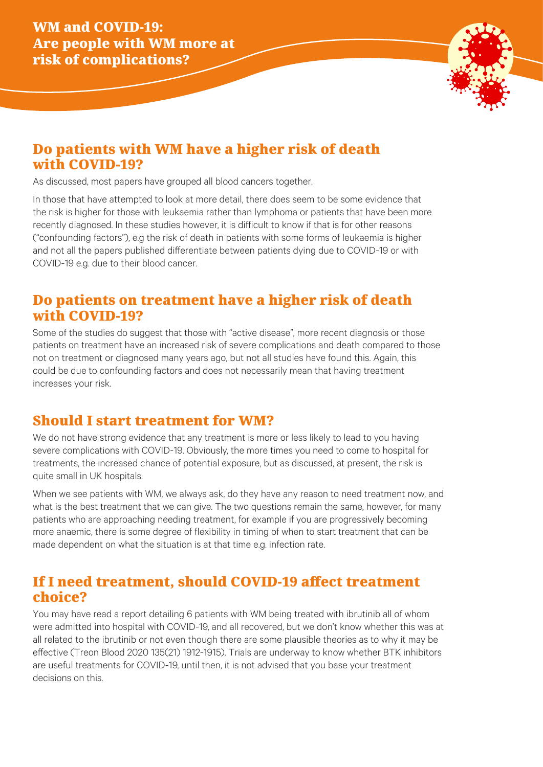

## Do patients with WM have a higher risk of death with COVID-19?

As discussed, most papers have grouped all blood cancers together.

In those that have attempted to look at more detail, there does seem to be some evidence that the risk is higher for those with leukaemia rather than lymphoma or patients that have been more recently diagnosed. In these studies however, it is difficult to know if that is for other reasons ("confounding factors"), e.g the risk of death in patients with some forms of leukaemia is higher and not all the papers published differentiate between patients dying due to COVID-19 or with COVID-19 e.g. due to their blood cancer.

#### Do patients on treatment have a higher risk of death with COVID-19?

Some of the studies do suggest that those with "active disease", more recent diagnosis or those patients on treatment have an increased risk of severe complications and death compared to those not on treatment or diagnosed many years ago, but not all studies have found this. Again, this could be due to confounding factors and does not necessarily mean that having treatment increases your risk.

#### Should I start treatment for WM?

We do not have strong evidence that any treatment is more or less likely to lead to you having severe complications with COVID-19. Obviously, the more times you need to come to hospital for treatments, the increased chance of potential exposure, but as discussed, at present, the risk is quite small in UK hospitals.

When we see patients with WM, we always ask, do they have any reason to need treatment now, and what is the best treatment that we can give. The two questions remain the same, however, for many patients who are approaching needing treatment, for example if you are progressively becoming more anaemic, there is some degree of flexibility in timing of when to start treatment that can be made dependent on what the situation is at that time e.g. infection rate.

#### If I need treatment, should COVID-19 affect treatment choice?

You may have read a report detailing 6 patients with WM being treated with ibrutinib all of whom were admitted into hospital with COVID-19, and all recovered, but we don't know whether this was at all related to the ibrutinib or not even though there are some plausible theories as to why it may be effective (Treon Blood 2020 135(21) 1912-1915). Trials are underway to know whether BTK inhibitors are useful treatments for COVID-19, until then, it is not advised that you base your treatment decisions on this.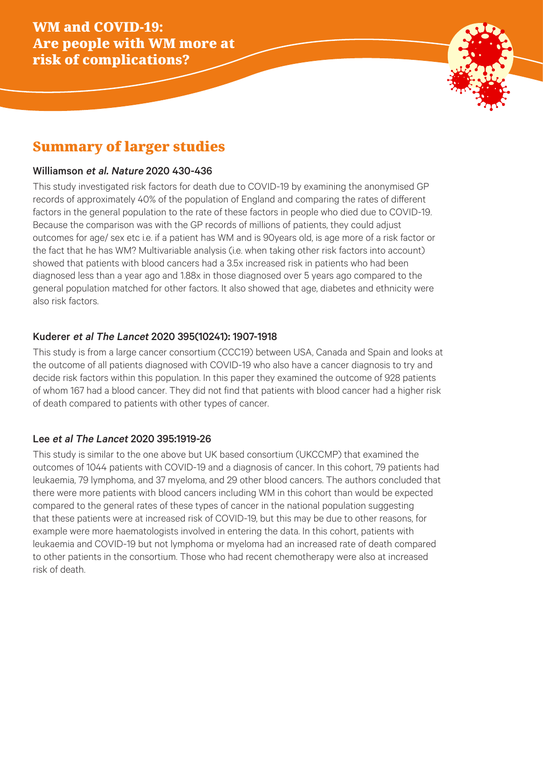

## Summary of larger studies

#### Williamson et al. Nature 2020 430-436

This study investigated risk factors for death due to COVID-19 by examining the anonymised GP records of approximately 40% of the population of England and comparing the rates of different factors in the general population to the rate of these factors in people who died due to COVID-19. Because the comparison was with the GP records of millions of patients, they could adjust outcomes for age/ sex etc i.e. if a patient has WM and is 90years old, is age more of a risk factor or the fact that he has WM? Multivariable analysis (i.e. when taking other risk factors into account) showed that patients with blood cancers had a 3.5x increased risk in patients who had been diagnosed less than a year ago and 1.88x in those diagnosed over 5 years ago compared to the general population matched for other factors. It also showed that age, diabetes and ethnicity were also risk factors.

#### Kuderer et al The Lancet 2020 395(10241): 1907-1918

This study is from a large cancer consortium (CCC19) between USA, Canada and Spain and looks at the outcome of all patients diagnosed with COVID-19 who also have a cancer diagnosis to try and decide risk factors within this population. In this paper they examined the outcome of 928 patients of whom 167 had a blood cancer. They did not find that patients with blood cancer had a higher risk of death compared to patients with other types of cancer.

#### Lee et al The Lancet 2020 395:1919-26

This study is similar to the one above but UK based consortium (UKCCMP) that examined the outcomes of 1044 patients with COVID-19 and a diagnosis of cancer. In this cohort, 79 patients had leukaemia, 79 lymphoma, and 37 myeloma, and 29 other blood cancers. The authors concluded that there were more patients with blood cancers including WM in this cohort than would be expected compared to the general rates of these types of cancer in the national population suggesting that these patients were at increased risk of COVID-19, but this may be due to other reasons, for example were more haematologists involved in entering the data. In this cohort, patients with leukaemia and COVID-19 but not lymphoma or myeloma had an increased rate of death compared to other patients in the consortium. Those who had recent chemotherapy were also at increased risk of death.